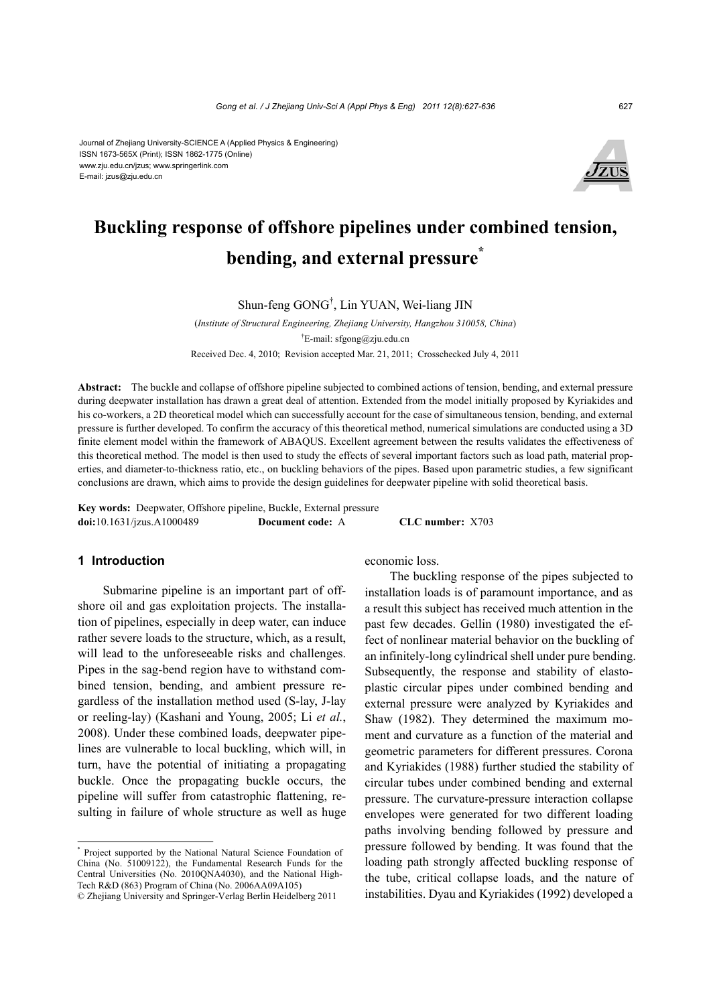Journal of Zhejiang University-SCIENCE A (Applied Physics & Engineering) ISSN 1673-565X (Print); ISSN 1862-1775 (Online) www.zju.edu.cn/jzus; www.springerlink.com E-mail: jzus@zju.edu.cn



# **Buckling response of offshore pipelines under combined tension, bending, and external pressure\***

Shun-feng GONG† , Lin YUAN, Wei-liang JIN

(*Institute of Structural Engineering, Zhejiang University, Hangzhou 310058, China*) † E-mail: sfgong@zju.edu.cn Received Dec. 4, 2010; Revision accepted Mar. 21, 2011; Crosschecked July 4, 2011

**Abstract:** The buckle and collapse of offshore pipeline subjected to combined actions of tension, bending, and external pressure during deepwater installation has drawn a great deal of attention. Extended from the model initially proposed by Kyriakides and his co-workers, a 2D theoretical model which can successfully account for the case of simultaneous tension, bending, and external pressure is further developed. To confirm the accuracy of this theoretical method, numerical simulations are conducted using a 3D finite element model within the framework of ABAQUS. Excellent agreement between the results validates the effectiveness of this theoretical method. The model is then used to study the effects of several important factors such as load path, material properties, and diameter-to-thickness ratio, etc., on buckling behaviors of the pipes. Based upon parametric studies, a few significant conclusions are drawn, which aims to provide the design guidelines for deepwater pipeline with solid theoretical basis.

**Key words:** Deepwater, Offshore pipeline, Buckle, External pressure **doi:**10.1631/jzus.A1000489 **Document code:** A **CLC number:** X703

# **1 Introduction**

Submarine pipeline is an important part of offshore oil and gas exploitation projects. The installation of pipelines, especially in deep water, can induce rather severe loads to the structure, which, as a result, will lead to the unforeseeable risks and challenges. Pipes in the sag-bend region have to withstand combined tension, bending, and ambient pressure regardless of the installation method used (S-lay, J-lay or reeling-lay) (Kashani and Young, 2005; Li *et al.*, 2008). Under these combined loads, deepwater pipelines are vulnerable to local buckling, which will, in turn, have the potential of initiating a propagating buckle. Once the propagating buckle occurs, the pipeline will suffer from catastrophic flattening, resulting in failure of whole structure as well as huge

economic loss.

The buckling response of the pipes subjected to installation loads is of paramount importance, and as a result this subject has received much attention in the past few decades. Gellin (1980) investigated the effect of nonlinear material behavior on the buckling of an infinitely-long cylindrical shell under pure bending. Subsequently, the response and stability of elastoplastic circular pipes under combined bending and external pressure were analyzed by Kyriakides and Shaw (1982). They determined the maximum moment and curvature as a function of the material and geometric parameters for different pressures. Corona and Kyriakides (1988) further studied the stability of circular tubes under combined bending and external pressure. The curvature-pressure interaction collapse envelopes were generated for two different loading paths involving bending followed by pressure and pressure followed by bending. It was found that the loading path strongly affected buckling response of the tube, critical collapse loads, and the nature of instabilities. Dyau and Kyriakides (1992) developed a

<sup>\*</sup> Project supported by the National Natural Science Foundation of China (No. 51009122), the Fundamental Research Funds for the Central Universities (No. 2010QNA4030), and the National High-Tech R&D (863) Program of China (No. 2006AA09A105) © Zhejiang University and Springer-Verlag Berlin Heidelberg 2011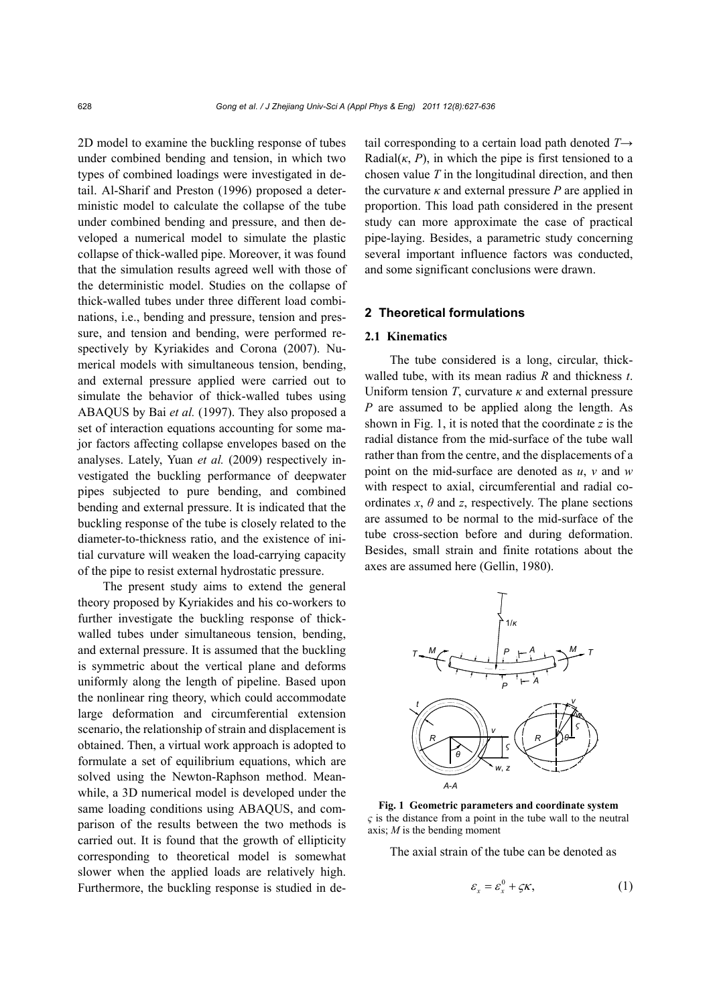2D model to examine the buckling response of tubes under combined bending and tension, in which two types of combined loadings were investigated in detail. Al-Sharif and Preston (1996) proposed a deterministic model to calculate the collapse of the tube under combined bending and pressure, and then developed a numerical model to simulate the plastic collapse of thick-walled pipe. Moreover, it was found that the simulation results agreed well with those of the deterministic model. Studies on the collapse of thick-walled tubes under three different load combinations, i.e., bending and pressure, tension and pressure, and tension and bending, were performed respectively by Kyriakides and Corona (2007). Numerical models with simultaneous tension, bending, and external pressure applied were carried out to simulate the behavior of thick-walled tubes using ABAQUS by Bai *et al.* (1997). They also proposed a set of interaction equations accounting for some major factors affecting collapse envelopes based on the analyses. Lately, Yuan *et al.* (2009) respectively investigated the buckling performance of deepwater pipes subjected to pure bending, and combined bending and external pressure. It is indicated that the buckling response of the tube is closely related to the diameter-to-thickness ratio, and the existence of initial curvature will weaken the load-carrying capacity of the pipe to resist external hydrostatic pressure.

The present study aims to extend the general theory proposed by Kyriakides and his co-workers to further investigate the buckling response of thickwalled tubes under simultaneous tension, bending, and external pressure. It is assumed that the buckling is symmetric about the vertical plane and deforms uniformly along the length of pipeline. Based upon the nonlinear ring theory, which could accommodate large deformation and circumferential extension scenario, the relationship of strain and displacement is obtained. Then, a virtual work approach is adopted to formulate a set of equilibrium equations, which are solved using the Newton-Raphson method. Meanwhile, a 3D numerical model is developed under the same loading conditions using ABAQUS, and comparison of the results between the two methods is carried out. It is found that the growth of ellipticity corresponding to theoretical model is somewhat slower when the applied loads are relatively high. Furthermore, the buckling response is studied in detail corresponding to a certain load path denoted *T*→ Radial $(k, P)$ , in which the pipe is first tensioned to a chosen value *T* in the longitudinal direction, and then the curvature  $\kappa$  and external pressure *P* are applied in proportion. This load path considered in the present study can more approximate the case of practical pipe-laying. Besides, a parametric study concerning several important influence factors was conducted, and some significant conclusions were drawn.

## **2 Theoretical formulations**

# **2.1 Kinematics**

The tube considered is a long, circular, thickwalled tube, with its mean radius *R* and thickness *t*. Uniform tension  $T$ , curvature  $\kappa$  and external pressure *P* are assumed to be applied along the length. As shown in Fig. 1, it is noted that the coordinate *z* is the radial distance from the mid-surface of the tube wall rather than from the centre, and the displacements of a point on the mid-surface are denoted as *u*, *v* and *w* with respect to axial, circumferential and radial coordinates  $x$ ,  $\theta$  and  $z$ , respectively. The plane sections are assumed to be normal to the mid-surface of the tube cross-section before and during deformation. Besides, small strain and finite rotations about the axes are assumed here (Gellin, 1980).



**Fig. 1 Geometric parameters and coordinate system**  *ς* is the distance from a point in the tube wall to the neutral axis; *M* is the bending moment

The axial strain of the tube can be denoted as

$$
\varepsilon_x = \varepsilon_x^0 + \varsigma \kappa, \tag{1}
$$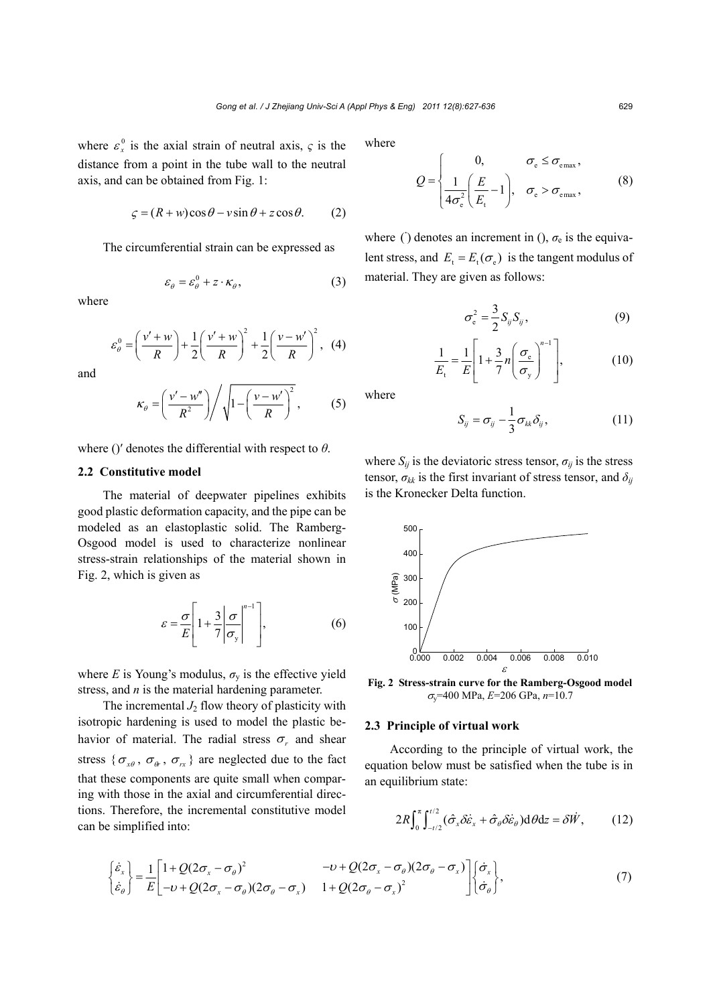where  $\varepsilon_x^0$  is the axial strain of neutral axis,  $\varsigma$  is the distance from a point in the tube wall to the neutral axis, and can be obtained from Fig. 1:

$$
\zeta = (R + w)\cos\theta - v\sin\theta + z\cos\theta. \tag{2}
$$

The circumferential strain can be expressed as

$$
\varepsilon_{\theta} = \varepsilon_{\theta}^{0} + z \cdot \kappa_{\theta},\tag{3}
$$

where

$$
\varepsilon_{\theta}^{0} = \left(\frac{v' + w}{R}\right) + \frac{1}{2}\left(\frac{v' + w}{R}\right)^{2} + \frac{1}{2}\left(\frac{v - w'}{R}\right)^{2}, \quad (4)
$$

and

$$
\kappa_{\theta} = \left(\frac{v'-w''}{R^2}\right) / \sqrt{1 - \left(\frac{v-w'}{R}\right)^2},\tag{5}
$$

where ()′ denotes the differential with respect to *θ*.

#### **2.2 Constitutive model**

The material of deepwater pipelines exhibits good plastic deformation capacity, and the pipe can be modeled as an elastoplastic solid. The Ramberg-Osgood model is used to characterize nonlinear stress-strain relationships of the material shown in Fig. 2, which is given as

$$
\varepsilon = \frac{\sigma}{E} \left[ 1 + \frac{3}{7} \left| \frac{\sigma}{\sigma_{y}} \right|^{n-1} \right],\tag{6}
$$

where *E* is Young's modulus,  $\sigma_{v}$  is the effective yield stress, and *n* is the material hardening parameter.

The incremental  $J_2$  flow theory of plasticity with isotropic hardening is used to model the plastic behavior of material. The radial stress  $\sigma_r$  and shear stress { $\sigma_{x\theta}$ ,  $\sigma_{\theta}$ ,  $\sigma_{rx}$ } are neglected due to the fact that these components are quite small when comparing with those in the axial and circumferential directions. Therefore, the incremental constitutive model can be simplified into:

where

$$
Q = \begin{cases} 0, & \sigma_{\rm e} \le \sigma_{\rm emax}, \\ \frac{1}{4\sigma_{\rm e}^2} \left( \frac{E}{E_{\rm t}} - 1 \right), & \sigma_{\rm e} > \sigma_{\rm emax}, \end{cases}
$$
 (8)

where () denotes an increment in  $($ ),  $\sigma_e$  is the equivalent stress, and  $E_t = E_t(\sigma_e)$  is the tangent modulus of material. They are given as follows:

$$
\sigma_{\rm e}^2 = \frac{3}{2} S_{ij} S_{ij}, \qquad (9)
$$

$$
\frac{1}{E_{\rm t}} = \frac{1}{E} \left[ 1 + \frac{3}{7} n \left( \frac{\sigma_{\rm e}}{\sigma_{\rm y}} \right)^{n-1} \right],\tag{10}
$$

where

$$
S_{ij} = \sigma_{ij} - \frac{1}{3} \sigma_{kk} \delta_{ij}, \qquad (11)
$$

where  $S_{ij}$  is the deviatoric stress tensor,  $\sigma_{ij}$  is the stress tensor,  $\sigma_{kk}$  is the first invariant of stress tensor, and  $\delta_{ij}$ is the Kronecker Delta function.



**Fig. 2 Stress-strain curve for the Ramberg-Osgood model** <sup>σ</sup>y=400 MPa, *E*=206 GPa, *n*=10.7

## **2.3 Principle of virtual work**

According to the principle of virtual work, the equation below must be satisfied when the tube is in an equilibrium state:

$$
2R\int_0^{\pi} \int_{-t/2}^{t/2} (\hat{\sigma}_x \delta \dot{\varepsilon}_x + \hat{\sigma}_\theta \delta \dot{\varepsilon}_\theta) d\theta dz = \delta \dot{W}, \qquad (12)
$$

$$
\begin{Bmatrix} \dot{\varepsilon}_x \\ \dot{\varepsilon}_\theta \end{Bmatrix} = \frac{1}{E} \begin{bmatrix} 1 + Q(2\sigma_x - \sigma_\theta)^2 & -\nu + Q(2\sigma_x - \sigma_\theta)(2\sigma_\theta - \sigma_x) \\ -\nu + Q(2\sigma_x - \sigma_\theta)(2\sigma_\theta - \sigma_x) & 1 + Q(2\sigma_\theta - \sigma_x)^2 \end{bmatrix} \begin{Bmatrix} \dot{\sigma}_x \\ \dot{\sigma}_\theta \end{Bmatrix},
$$
(7)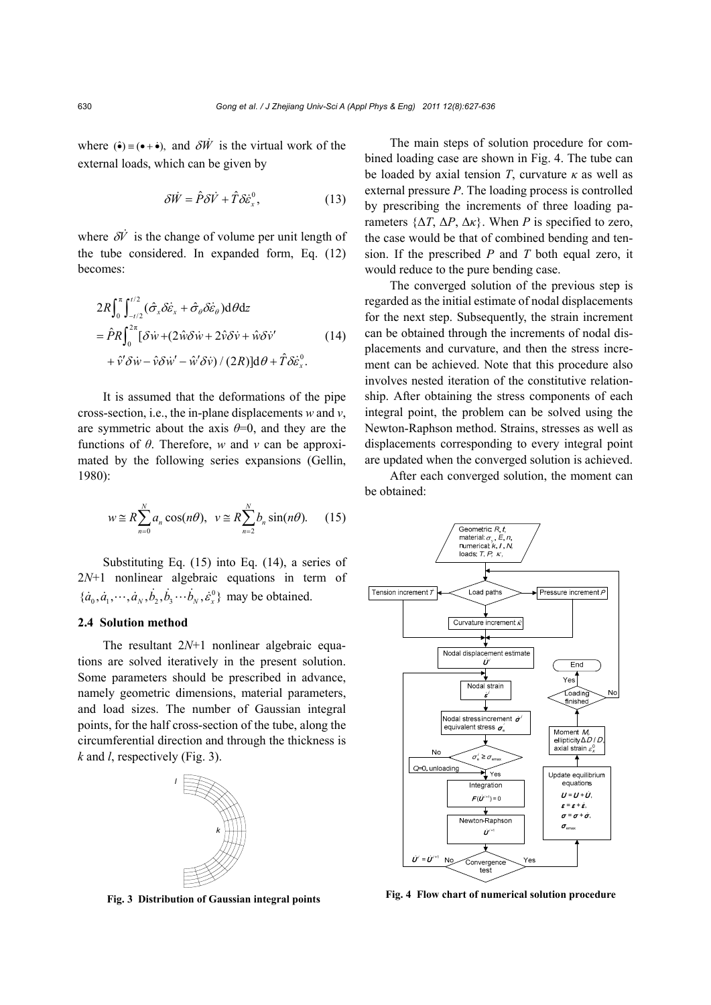where  $(\hat{\bullet}) = (\bullet + \dot{\bullet})$ , and  $\delta \vec{W}$  is the virtual work of the external loads, which can be given by

$$
\delta \dot{W} = \hat{P}\delta \dot{V} + \hat{T}\delta \dot{\varepsilon}_x^0, \qquad (13)
$$

where  $\delta \vec{V}$  is the change of volume per unit length of the tube considered. In expanded form, Eq. (12) becomes:

$$
2R\int_0^{\pi} \int_{-t/2}^{t/2} (\hat{\sigma}_x \delta \dot{\varepsilon}_x + \hat{\sigma}_\theta \delta \dot{\varepsilon}_\theta) d\theta dz
$$
  
=  $\hat{P}R \int_0^{2\pi} [\delta \dot{w} + (2\hat{w}\delta \dot{w} + 2\hat{v}\delta \dot{v} + \hat{w}\delta \dot{v}'] \qquad (14)$   
+  $\hat{v}' \delta \dot{w} - \hat{v} \delta \dot{w}' - \hat{w}' \delta \dot{v}) / (2R) d\theta + \hat{T} \delta \dot{\varepsilon}_x^0.$ 

It is assumed that the deformations of the pipe cross-section, i.e., the in-plane displacements *w* and *v*, are symmetric about the axis  $\theta = 0$ , and they are the functions of *θ*. Therefore, *w* and *v* can be approximated by the following series expansions (Gellin, 1980):

$$
w \cong R \sum_{n=0}^{N} a_n \cos(n\theta), \ \ v \cong R \sum_{n=2}^{N} b_n \sin(n\theta). \tag{15}
$$

Substituting Eq. (15) into Eq. (14), a series of 2*N*+1 nonlinear algebraic equations in term of  $\{\dot{a}_0, \dot{a}_1, \dots, \dot{a}_N, \dot{b}_2, \dot{b}_3 \dotsb \dot{b}_N, \dot{\varepsilon}^0_x\}$  may be obtained.

#### **2.4 Solution method**

The resultant 2*N*+1 nonlinear algebraic equations are solved iteratively in the present solution. Some parameters should be prescribed in advance, namely geometric dimensions, material parameters, and load sizes. The number of Gaussian integral points, for the half cross-section of the tube, along the circumferential direction and through the thickness is *k* and *l*, respectively (Fig. 3).



**Fig. 3 Distribution of Gaussian integral points**

The main steps of solution procedure for combined loading case are shown in Fig. 4. The tube can be loaded by axial tension *T*, curvature *κ* as well as external pressure *P*. The loading process is controlled by prescribing the increments of three loading parameters  $\{\Delta T, \Delta P, \Delta \kappa\}$ . When *P* is specified to zero, the case would be that of combined bending and tension. If the prescribed *P* and *T* both equal zero, it would reduce to the pure bending case.

The converged solution of the previous step is regarded as the initial estimate of nodal displacements for the next step. Subsequently, the strain increment can be obtained through the increments of nodal displacements and curvature, and then the stress increment can be achieved. Note that this procedure also involves nested iteration of the constitutive relationship. After obtaining the stress components of each integral point, the problem can be solved using the Newton-Raphson method. Strains, stresses as well as displacements corresponding to every integral point are updated when the converged solution is achieved.

After each converged solution, the moment can be obtained:



**Fig. 4 Flow chart of numerical solution procedure**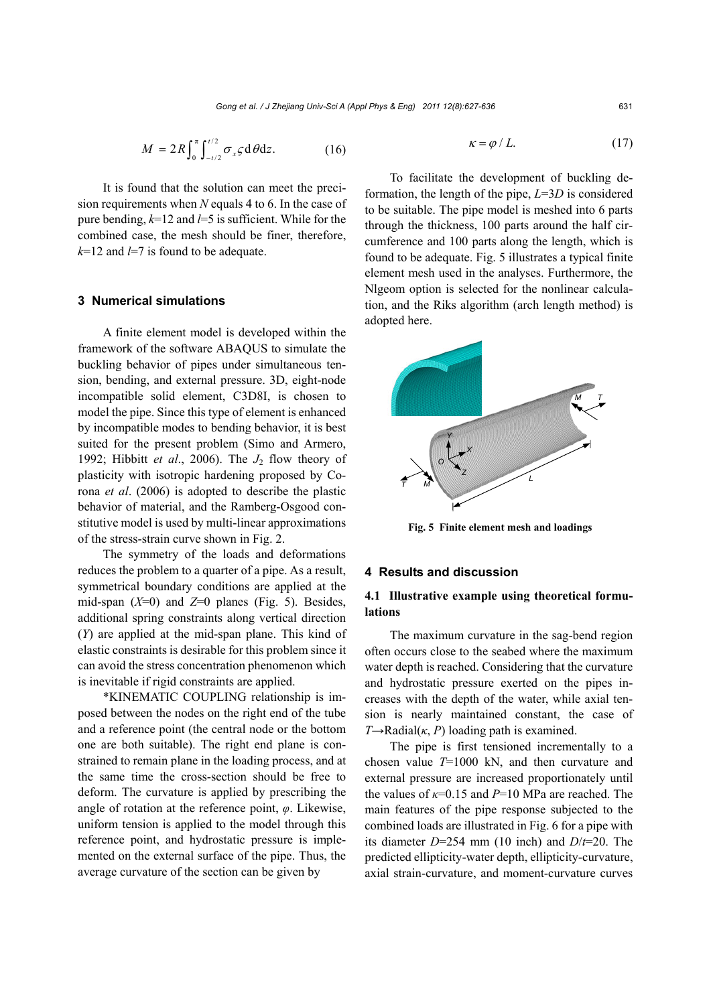$$
M = 2R \int_0^{\pi} \int_{-t/2}^{t/2} \sigma_x \varsigma \, d\theta \, dz. \tag{16}
$$

It is found that the solution can meet the precision requirements when *N* equals 4 to 6. In the case of pure bending, *k*=12 and *l*=5 is sufficient. While for the combined case, the mesh should be finer, therefore, *k*=12 and *l*=7 is found to be adequate.

## **3 Numerical simulations**

A finite element model is developed within the framework of the software ABAQUS to simulate the buckling behavior of pipes under simultaneous tension, bending, and external pressure. 3D, eight-node incompatible solid element, C3D8I, is chosen to model the pipe. Since this type of element is enhanced by incompatible modes to bending behavior, it is best suited for the present problem (Simo and Armero, 1992; Hibbitt *et al*., 2006). The *J*2 flow theory of plasticity with isotropic hardening proposed by Corona *et al*. (2006) is adopted to describe the plastic behavior of material, and the Ramberg-Osgood constitutive model is used by multi-linear approximations of the stress-strain curve shown in Fig. 2.

The symmetry of the loads and deformations reduces the problem to a quarter of a pipe. As a result, symmetrical boundary conditions are applied at the mid-span (*X*=0) and *Z*=0 planes (Fig. 5). Besides, additional spring constraints along vertical direction (*Y*) are applied at the mid-span plane. This kind of elastic constraints is desirable for this problem since it can avoid the stress concentration phenomenon which is inevitable if rigid constraints are applied.

\*KINEMATIC COUPLING relationship is imposed between the nodes on the right end of the tube and a reference point (the central node or the bottom one are both suitable). The right end plane is constrained to remain plane in the loading process, and at the same time the cross-section should be free to deform. The curvature is applied by prescribing the angle of rotation at the reference point, *φ*. Likewise, uniform tension is applied to the model through this reference point, and hydrostatic pressure is implemented on the external surface of the pipe. Thus, the average curvature of the section can be given by

$$
\kappa = \varphi / L. \tag{17}
$$

To facilitate the development of buckling deformation, the length of the pipe, *L*=3*D* is considered to be suitable. The pipe model is meshed into 6 parts through the thickness, 100 parts around the half circumference and 100 parts along the length, which is found to be adequate. Fig. 5 illustrates a typical finite element mesh used in the analyses. Furthermore, the Nlgeom option is selected for the nonlinear calculation, and the Riks algorithm (arch length method) is adopted here.



**Fig. 5 Finite element mesh and loadings** 

## **4 Results and discussion**

# **4.1 Illustrative example using theoretical formulations**

The maximum curvature in the sag-bend region often occurs close to the seabed where the maximum water depth is reached. Considering that the curvature and hydrostatic pressure exerted on the pipes increases with the depth of the water, while axial tension is nearly maintained constant, the case of  $T \rightarrow \text{Radial}(\kappa, P)$  loading path is examined.

The pipe is first tensioned incrementally to a chosen value *T*=1000 kN, and then curvature and external pressure are increased proportionately until the values of *κ*=0.15 and *P*=10 MPa are reached. The main features of the pipe response subjected to the combined loads are illustrated in Fig. 6 for a pipe with its diameter *D*=254 mm (10 inch) and *D*/*t*=20. The predicted ellipticity-water depth, ellipticity-curvature, axial strain-curvature, and moment-curvature curves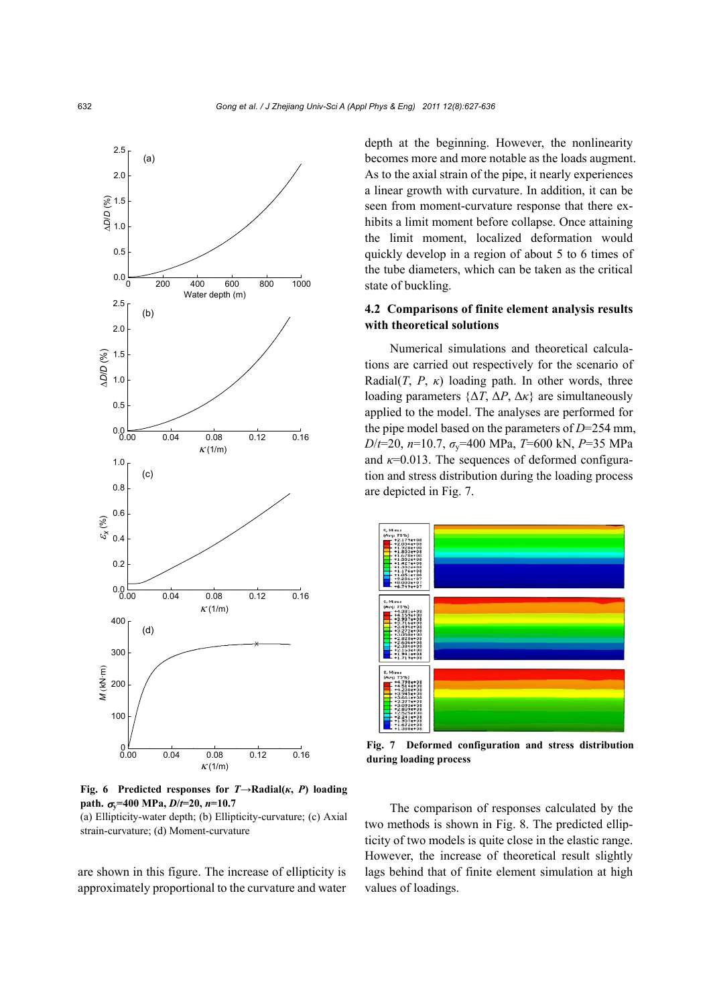

**Fig. 6** Predicted responses for  $T \rightarrow \text{Radial}(k, P)$  loading  $path. \ \sigma_v = 400 \ \text{MPa}, \frac{D}{t} = 20, \ \frac{n}{10.7}$ 

(a) Ellipticity-water depth; (b) Ellipticity-curvature; (c) Axial strain-curvature; (d) Moment-curvature

are shown in this figure. The increase of ellipticity is approximately proportional to the curvature and water

depth at the beginning. However, the nonlinearity becomes more and more notable as the loads augment. As to the axial strain of the pipe, it nearly experiences a linear growth with curvature. In addition, it can be seen from moment-curvature response that there exhibits a limit moment before collapse. Once attaining the limit moment, localized deformation would quickly develop in a region of about 5 to 6 times of the tube diameters, which can be taken as the critical state of buckling.

# **4.2 Comparisons of finite element analysis results with theoretical solutions**

Numerical simulations and theoretical calculations are carried out respectively for the scenario of Radial(*T*, *P*,  $\kappa$ ) loading path. In other words, three loading parameters  $\{\Delta T, \Delta P, \Delta \kappa\}$  are simultaneously applied to the model. The analyses are performed for the pipe model based on the parameters of *D*=254 mm, *D*/*t*=20, *n*=10.7, *σ*y=400 MPa, *T*=600 kN, *P*=35 MPa and  $\kappa$ =0.013. The sequences of deformed configuration and stress distribution during the loading process are depicted in Fig. 7.



**Fig. 7 Deformed configuration and stress distribution during loading process** 

The comparison of responses calculated by the two methods is shown in Fig. 8. The predicted ellipticity of two models is quite close in the elastic range. However, the increase of theoretical result slightly lags behind that of finite element simulation at high values of loadings.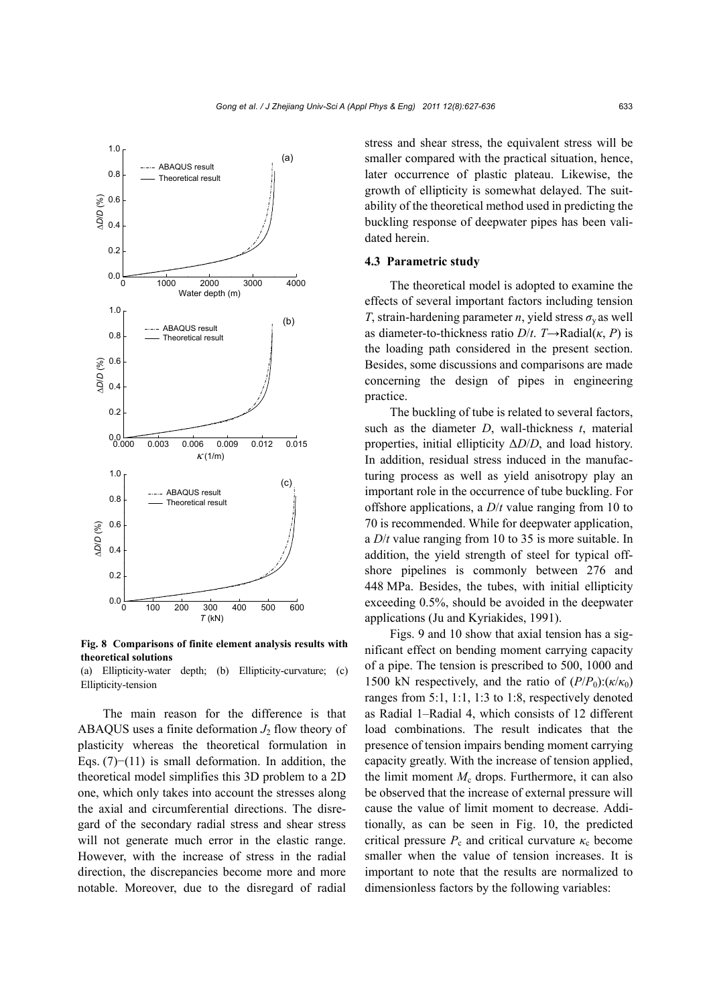

**Fig. 8 Comparisons of finite element analysis results with theoretical solutions** 

(a) Ellipticity-water depth; (b) Ellipticity-curvature; (c) Ellipticity-tension

The main reason for the difference is that ABAQUS uses a finite deformation  $J_2$  flow theory of plasticity whereas the theoretical formulation in Eqs. (7)−(11) is small deformation. In addition, the theoretical model simplifies this 3D problem to a 2D one, which only takes into account the stresses along the axial and circumferential directions. The disregard of the secondary radial stress and shear stress will not generate much error in the elastic range. However, with the increase of stress in the radial direction, the discrepancies become more and more notable. Moreover, due to the disregard of radial stress and shear stress, the equivalent stress will be smaller compared with the practical situation, hence, later occurrence of plastic plateau. Likewise, the growth of ellipticity is somewhat delayed. The suitability of the theoretical method used in predicting the buckling response of deepwater pipes has been validated herein.

#### **4.3 Parametric study**

The theoretical model is adopted to examine the effects of several important factors including tension *T*, strain-hardening parameter *n*, yield stress  $\sigma$ <sub>v</sub> as well as diameter-to-thickness ratio  $D/t$ . *T* $\rightarrow$ Radial(*κ*, *P*) is the loading path considered in the present section. Besides, some discussions and comparisons are made concerning the design of pipes in engineering practice.

The buckling of tube is related to several factors, such as the diameter *D*, wall-thickness *t*, material properties, initial ellipticity Δ*D*/*D*, and load history. In addition, residual stress induced in the manufacturing process as well as yield anisotropy play an important role in the occurrence of tube buckling. For offshore applications, a *D*/*t* value ranging from 10 to 70 is recommended. While for deepwater application, a *D*/*t* value ranging from 10 to 35 is more suitable. In addition, the yield strength of steel for typical offshore pipelines is commonly between 276 and 448 MPa. Besides, the tubes, with initial ellipticity exceeding 0.5%, should be avoided in the deepwater applications (Ju and Kyriakides, 1991).

Figs. 9 and 10 show that axial tension has a significant effect on bending moment carrying capacity of a pipe. The tension is prescribed to 500, 1000 and 1500 kN respectively, and the ratio of  $(P/P_0): (\kappa/\kappa_0)$ ranges from 5:1, 1:1, 1:3 to 1:8, respectively denoted as Radial 1–Radial 4, which consists of 12 different load combinations. The result indicates that the presence of tension impairs bending moment carrying capacity greatly. With the increase of tension applied, the limit moment  $M_c$  drops. Furthermore, it can also be observed that the increase of external pressure will cause the value of limit moment to decrease. Additionally, as can be seen in Fig. 10, the predicted critical pressure  $P_c$  and critical curvature  $\kappa_c$  become smaller when the value of tension increases. It is important to note that the results are normalized to dimensionless factors by the following variables: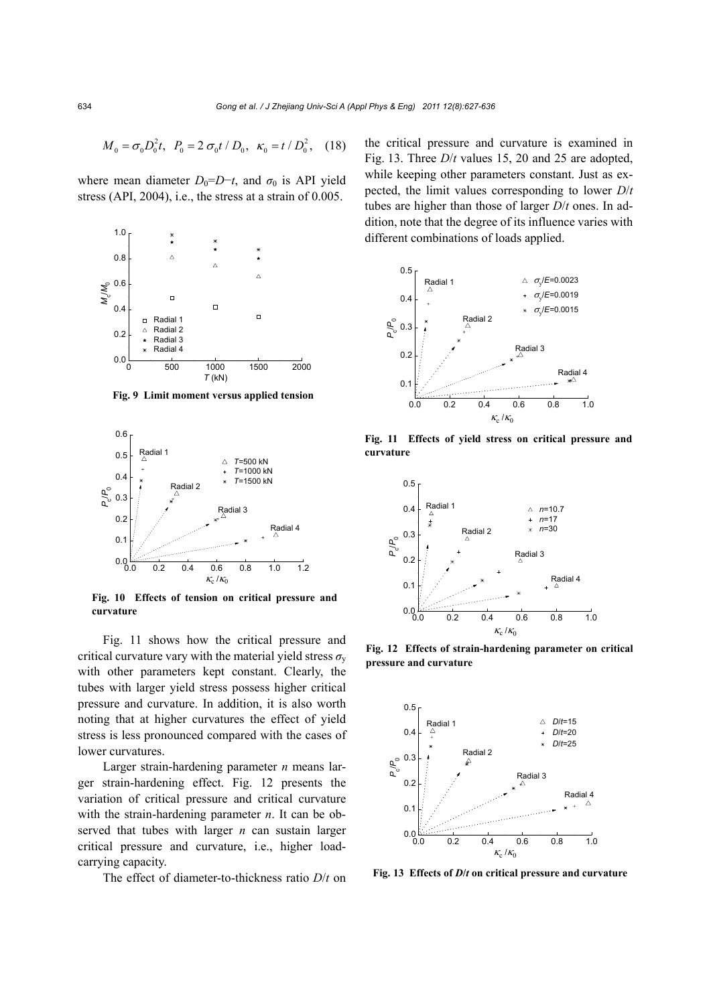$$
M_0 = \sigma_0 D_0^2 t, \ \ P_0 = 2 \sigma_0 t / D_0, \ \ \kappa_0 = t / D_0^2, \ \ (18)
$$

where mean diameter  $D_0=D-t$ , and  $\sigma_0$  is API yield stress (API, 2004), i.e., the stress at a strain of 0.005.



**Fig. 9 Limit moment versus applied tension** 



**Fig. 10 Effects of tension on critical pressure and curvature** 

Fig. 11 shows how the critical pressure and critical curvature vary with the material yield stress  $\sigma_{v}$ with other parameters kept constant. Clearly, the tubes with larger yield stress possess higher critical pressure and curvature. In addition, it is also worth noting that at higher curvatures the effect of yield stress is less pronounced compared with the cases of lower curvatures.

Larger strain-hardening parameter *n* means larger strain-hardening effect. Fig. 12 presents the variation of critical pressure and critical curvature with the strain-hardening parameter *n*. It can be observed that tubes with larger *n* can sustain larger critical pressure and curvature, i.e., higher loadcarrying capacity.

The effect of diameter-to-thickness ratio *D*/*t* on

the critical pressure and curvature is examined in Fig. 13. Three *D*/*t* values 15, 20 and 25 are adopted, while keeping other parameters constant. Just as expected, the limit values corresponding to lower *D*/*t* tubes are higher than those of larger *D*/*t* ones. In addition, note that the degree of its influence varies with different combinations of loads applied.



**Fig. 11 Effects of yield stress on critical pressure and curvature** 



**Fig. 12 Effects of strain-hardening parameter on critical pressure and curvature**



**Fig. 13 Effects of** *D***/***t* **on critical pressure and curvature**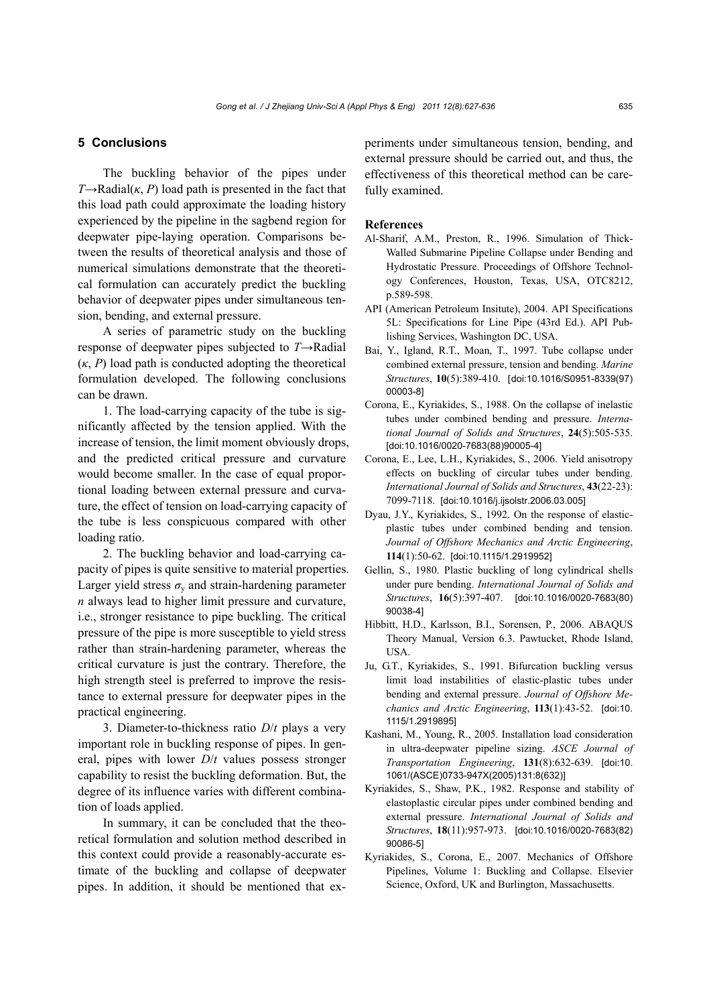## **5 Conclusions**

The buckling behavior of the pipes under  $T \rightarrow \text{Radial}(\kappa, P)$  load path is presented in the fact that this load path could approximate the loading history experienced by the pipeline in the sagbend region for deepwater pipe-laying operation. Comparisons between the results of theoretical analysis and those of numerical simulations demonstrate that the theoretical formulation can accurately predict the buckling behavior of deepwater pipes under simultaneous tension, bending, and external pressure.

A series of parametric study on the buckling response of deepwater pipes subjected to *T*→Radial  $(\kappa, P)$  load path is conducted adopting the theoretical formulation developed. The following conclusions can be drawn.

1. The load-carrying capacity of the tube is significantly affected by the tension applied. With the increase of tension, the limit moment obviously drops, and the predicted critical pressure and curvature would become smaller. In the case of equal proportional loading between external pressure and curvature, the effect of tension on load-carrying capacity of the tube is less conspicuous compared with other loading ratio.

2. The buckling behavior and load-carrying capacity of pipes is quite sensitive to material properties. Larger yield stress  $\sigma_{v}$  and strain-hardening parameter *n* always lead to higher limit pressure and curvature, i.e., stronger resistance to pipe buckling. The critical pressure of the pipe is more susceptible to yield stress rather than strain-hardening parameter, whereas the critical curvature is just the contrary. Therefore, the high strength steel is preferred to improve the resistance to external pressure for deepwater pipes in the practical engineering.

3. Diameter-to-thickness ratio *D*/*t* plays a very important role in buckling response of pipes. In general, pipes with lower *D*/*t* values possess stronger capability to resist the buckling deformation. But, the degree of its influence varies with different combination of loads applied.

In summary, it can be concluded that the theoretical formulation and solution method described in this context could provide a reasonably-accurate estimate of the buckling and collapse of deepwater pipes. In addition, it should be mentioned that experiments under simultaneous tension, bending, and external pressure should be carried out, and thus, the effectiveness of this theoretical method can be carefully examined.

### **References**

- Al-Sharif, A.M., Preston, R., 1996. Simulation of Thick-Walled Submarine Pipeline Collapse under Bending and Hydrostatic Pressure. Proceedings of Offshore Technology Conferences, Houston, Texas, USA, OTC8212, p.589-598.
- API (American Petroleum Insitute), 2004. API Specifications 5L: Specifications for Line Pipe (43rd Ed.). API Publishing Services, Washington DC, USA.
- Bai, Y., Igland, R.T., Moan, T., 1997. Tube collapse under combined external pressure, tension and bending. *Marine Structures*, **10**(5):389-410. [doi:10.1016/S0951-8339(97) 00003-8]
- Corona, E., Kyriakides, S., 1988. On the collapse of inelastic tubes under combined bending and pressure. *International Journal of Solids and Structures*, **24**(5):505-535. [doi:10.1016/0020-7683(88)90005-4]
- Corona, E., Lee, L.H., Kyriakides, S., 2006. Yield anisotropy effects on buckling of circular tubes under bending. *International Journal of Solids and Structures*, **43**(22-23): 7099-7118. [doi:10.1016/j.ijsolstr.2006.03.005]
- Dyau, J.Y., Kyriakides, S., 1992. On the response of elasticplastic tubes under combined bending and tension. *Journal of Offshore Mechanics and Arctic Engineering*, **114**(1):50-62. [doi:10.1115/1.2919952]
- Gellin, S., 1980. Plastic buckling of long cylindrical shells under pure bending. *International Journal of Solids and Structures*, **16**(5):397-407. [doi:10.1016/0020-7683(80) 90038-4]
- Hibbitt, H.D., Karlsson, B.I., Sorensen, P., 2006. ABAQUS Theory Manual, Version 6.3. Pawtucket, Rhode Island, USA.
- Ju, G.T., Kyriakides, S., 1991. Bifurcation buckling versus limit load instabilities of elastic-plastic tubes under bending and external pressure. *Journal of Offshore Mechanics and Arctic Engineering*, **113**(1):43-52. [doi:10. 1115/1.2919895]
- Kashani, M., Young, R., 2005. Installation load consideration in ultra-deepwater pipeline sizing. *ASCE Journal of Transportation Engineering*, **131**(8):632-639. [doi:10. 1061/(ASCE)0733-947X(2005)131:8(632)]
- Kyriakides, S., Shaw, P.K., 1982. Response and stability of elastoplastic circular pipes under combined bending and external pressure. *International Journal of Solids and Structures*, **18**(11):957-973. [doi:10.1016/0020-7683(82) 90086-5]
- Kyriakides, S., Corona, E., 2007. Mechanics of Offshore Pipelines, Volume 1: Buckling and Collapse. Elsevier Science, Oxford, UK and Burlington, Massachusetts.